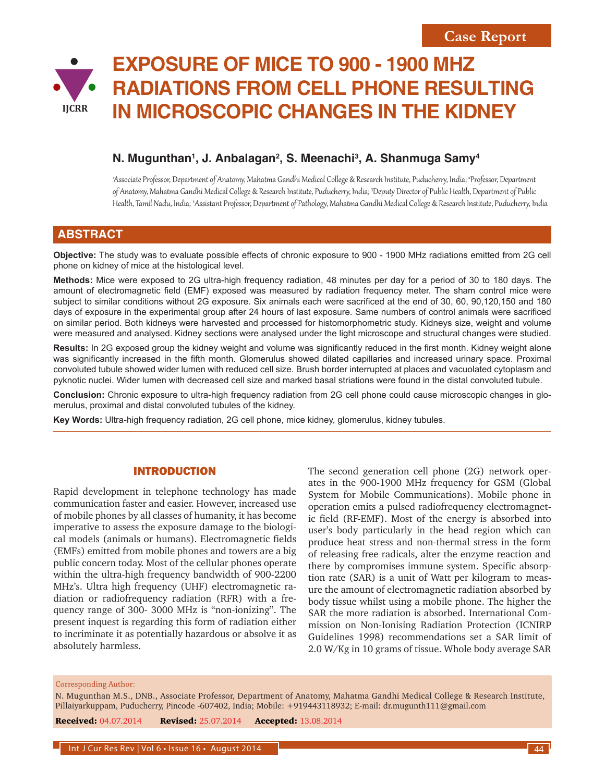# **EXPOSURE OF MICE TO 900 - 1900 MHZ RADIATIONS FROM CELL PHONE RESULTING IN MICROSCOPIC CHANGES IN THE KIDNEY IJCRR**

## **N. Mugunthan1 , J. Anbalagan2 , S. Meenachi3 , A. Shanmuga Samy4**

'Associate Professor, Department of Anatomy, Mahatma Gandhi Medical College & Research Institute, Puducherry, India; ªProfessor, Department of Anatomy, Mahatma Gandhi Medical College & Research Institute, Puducherry, India; <sup>3</sup> Deputy Director of Public Health, Department of Public Health, Tamil Nadu, India; <sup>4</sup> Assistant Professor, Department of Pathology, Mahatma Gandhi Medical College & Research Institute, Puducherry, India

## **ABSTRACT**

**Objective:** The study was to evaluate possible effects of chronic exposure to 900 - 1900 MHz radiations emitted from 2G cell phone on kidney of mice at the histological level.

**Methods:** Mice were exposed to 2G ultra-high frequency radiation, 48 minutes per day for a period of 30 to 180 days. The amount of electromagnetic field (EMF) exposed was measured by radiation frequency meter. The sham control mice were subject to similar conditions without 2G exposure. Six animals each were sacrificed at the end of 30, 60, 90,120,150 and 180 days of exposure in the experimental group after 24 hours of last exposure. Same numbers of control animals were sacrificed on similar period. Both kidneys were harvested and processed for histomorphometric study. Kidneys size, weight and volume were measured and analysed. Kidney sections were analysed under the light microscope and structural changes were studied.

**Results:** In 2G exposed group the kidney weight and volume was significantly reduced in the first month. Kidney weight alone was significantly increased in the fifth month. Glomerulus showed dilated capillaries and increased urinary space. Proximal convoluted tubule showed wider lumen with reduced cell size. Brush border interrupted at places and vacuolated cytoplasm and pyknotic nuclei. Wider lumen with decreased cell size and marked basal striations were found in the distal convoluted tubule.

**Conclusion:** Chronic exposure to ultra-high frequency radiation from 2G cell phone could cause microscopic changes in glomerulus, proximal and distal convoluted tubules of the kidney.

**Key Words:** Ultra-high frequency radiation, 2G cell phone, mice kidney, glomerulus, kidney tubules.

#### INTRODUCTION

Rapid development in telephone technology has made communication faster and easier. However, increased use of mobile phones by all classes of humanity, it has become imperative to assess the exposure damage to the biological models (animals or humans). Electromagnetic fields (EMFs) emitted from mobile phones and towers are a big public concern today. Most of the cellular phones operate within the ultra-high frequency bandwidth of 900-2200 MHz's. Ultra high frequency (UHF) electromagnetic radiation or radiofrequency radiation (RFR) with a frequency range of 300- 3000 MHz is "non-ionizing". The present inquest is regarding this form of radiation either to incriminate it as potentially hazardous or absolve it as absolutely harmless.

The second generation cell phone (2G) network operates in the 900-1900 MHz frequency for GSM (Global System for Mobile Communications). Mobile phone in operation emits a pulsed radiofrequency electromagnetic field (RF-EMF). Most of the energy is absorbed into user's body particularly in the head region which can produce heat stress and non-thermal stress in the form of releasing free radicals, alter the enzyme reaction and there by compromises immune system. Specific absorption rate (SAR) is a unit of Watt per kilogram to measure the amount of electromagnetic radiation absorbed by body tissue whilst using a mobile phone. The higher the SAR the more radiation is absorbed. International Commission on Non-Ionising Radiation Protection (ICNIRP Guidelines 1998) recommendations set a SAR limit of 2.0 W/Kg in 10 grams of tissue. Whole body average SAR

#### Corresponding Author: Corresponding Author:

N. Mugunthan M.S., DNB., Associate Professor, Department of Anatomy, Mahatma Gandhi Medical College & Research Institute, Pillaiyarkuppam, Puducherry, Pincode -607402, India; Mobile: +919443118932; E-mail: dr.mugunth111@gmail.com

**Received: 04.07.2014 Revised: 25.07.2014 Accepted: 13.08.2014**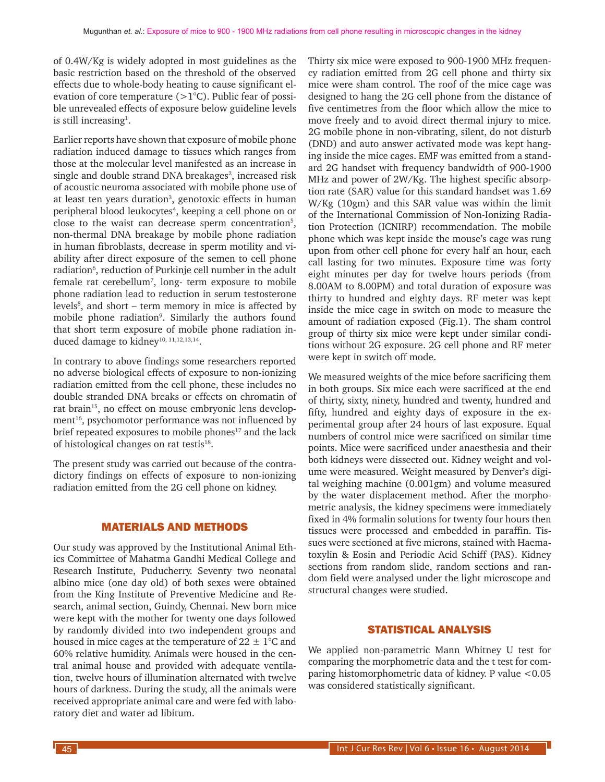of 0.4W/Kg is widely adopted in most guidelines as the basic restriction based on the threshold of the observed effects due to whole-body heating to cause significant elevation of core temperature  $(>1^{\circ}C)$ . Public fear of possible unrevealed effects of exposure below guideline levels is still increasing<sup>1</sup>.

Earlier reports have shown that exposure of mobile phone radiation induced damage to tissues which ranges from those at the molecular level manifested as an increase in single and double strand DNA breakages<sup>2</sup>, increased risk of acoustic neuroma associated with mobile phone use of at least ten years duration<sup>3</sup>, genotoxic effects in human peripheral blood leukocytes<sup>4</sup>, keeping a cell phone on or close to the waist can decrease sperm concentration<sup>5</sup>, non-thermal DNA breakage by mobile phone radiation in human fibroblasts, decrease in sperm motility and viability after direct exposure of the semen to cell phone radiation<sup>6</sup>, reduction of Purkinje cell number in the adult female rat cerebellum7 , long- term exposure to mobile phone radiation lead to reduction in serum testosterone levels<sup>8</sup>, and short – term memory in mice is affected by mobile phone radiation<sup>9</sup>. Similarly the authors found that short term exposure of mobile phone radiation induced damage to kidney<sup>10, 11,12,13,14</sup>.

In contrary to above findings some researchers reported no adverse biological effects of exposure to non-ionizing radiation emitted from the cell phone, these includes no double stranded DNA breaks or effects on chromatin of rat brain<sup>15</sup>, no effect on mouse embryonic lens development<sup>16</sup>, psychomotor performance was not influenced by brief repeated exposures to mobile phones<sup>17</sup> and the lack of histological changes on rat testis<sup>18</sup>.

The present study was carried out because of the contradictory findings on effects of exposure to non-ionizing radiation emitted from the 2G cell phone on kidney.

#### MATERIALS AND METHODS

Our study was approved by the Institutional Animal Ethics Committee of Mahatma Gandhi Medical College and Research Institute, Puducherry. Seventy two neonatal albino mice (one day old) of both sexes were obtained from the King Institute of Preventive Medicine and Research, animal section, Guindy, Chennai. New born mice were kept with the mother for twenty one days followed by randomly divided into two independent groups and housed in mice cages at the temperature of  $22 \pm 1$ °C and 60% relative humidity. Animals were housed in the central animal house and provided with adequate ventilation, twelve hours of illumination alternated with twelve hours of darkness. During the study, all the animals were received appropriate animal care and were fed with laboratory diet and water ad libitum.

Thirty six mice were exposed to 900-1900 MHz frequency radiation emitted from 2G cell phone and thirty six mice were sham control. The roof of the mice cage was designed to hang the 2G cell phone from the distance of five centimetres from the floor which allow the mice to move freely and to avoid direct thermal injury to mice. 2G mobile phone in non-vibrating, silent, do not disturb (DND) and auto answer activated mode was kept hanging inside the mice cages. EMF was emitted from a standard 2G handset with frequency bandwidth of 900-1900 MHz and power of 2W/Kg. The highest specific absorption rate (SAR) value for this standard handset was 1.69 W/Kg (10gm) and this SAR value was within the limit of the International Commission of Non-Ionizing Radiation Protection (ICNIRP) recommendation. The mobile phone which was kept inside the mouse's cage was rung upon from other cell phone for every half an hour, each call lasting for two minutes. Exposure time was forty eight minutes per day for twelve hours periods (from 8.00AM to 8.00PM) and total duration of exposure was thirty to hundred and eighty days. RF meter was kept inside the mice cage in switch on mode to measure the amount of radiation exposed (Fig.1). The sham control group of thirty six mice were kept under similar conditions without 2G exposure. 2G cell phone and RF meter were kept in switch off mode.

We measured weights of the mice before sacrificing them in both groups. Six mice each were sacrificed at the end of thirty, sixty, ninety, hundred and twenty, hundred and fifty, hundred and eighty days of exposure in the experimental group after 24 hours of last exposure. Equal numbers of control mice were sacrificed on similar time points. Mice were sacrificed under anaesthesia and their both kidneys were dissected out. Kidney weight and volume were measured. Weight measured by Denver's digital weighing machine (0.001gm) and volume measured by the water displacement method. After the morphometric analysis, the kidney specimens were immediately fixed in 4% formalin solutions for twenty four hours then tissues were processed and embedded in paraffin. Tissues were sectioned at five microns, stained with Haematoxylin & Eosin and Periodic Acid Schiff (PAS). Kidney sections from random slide, random sections and random field were analysed under the light microscope and structural changes were studied.

### STATISTICAL ANALYSIS

We applied non-parametric Mann Whitney U test for comparing the morphometric data and the t test for comparing histomorphometric data of kidney. P value <0.05 was considered statistically significant.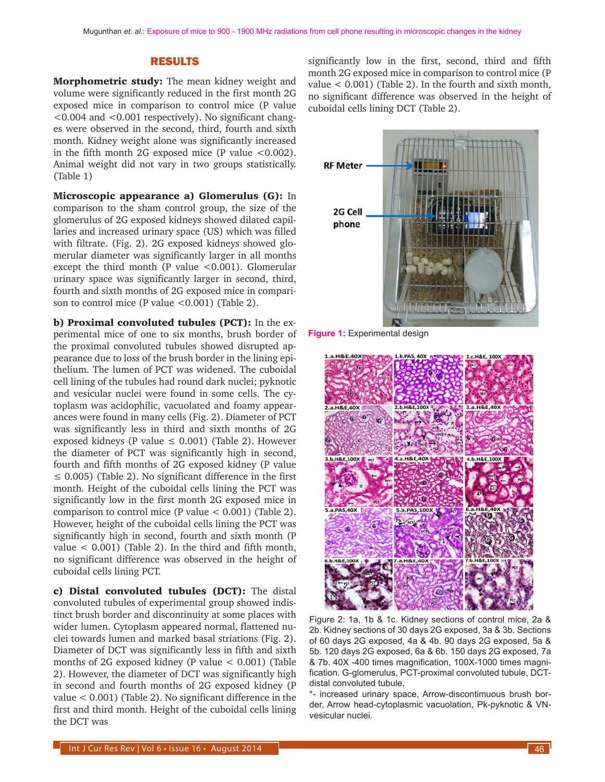### RESULTS

Morphometric study: The mean kidney weight and volume were significantly reduced in the first month 2G exposed mice in comparison to control mice (P value <0.004 and <0.001 respectively). No significant changes were observed in the second, third, fourth and sixth month. Kidney weight alone was significantly increased in the fifth month 2G exposed mice (P value  $<0.002$ ). Animal weight did not vary in two groups statistically. (Table 1)

Microscopic appearance a) Glomerulus (G): In comparison to the sham control group, the size of the glomerulus of 2G exposed kidneys showed dilated capillaries and increased urinary space (US) which was filled with filtrate. (Fig. 2). 2G exposed kidneys showed glomerular diameter was significantly larger in all months except the third month (P value  $< 0.001$ ). Glomerular urinary space was significantly larger in second, third, fourth and sixth months of 2G exposed mice in comparison to control mice (P value  $\leq 0.001$ ) (Table 2).

b) Proximal convoluted tubules (PCT): In the experimental mice of one to six months, brush border of the proximal convoluted tubules showed disrupted appearance due to loss of the brush border in the lining epithelium. The lumen of PCT was widened. The cuboidal cell lining of the tubules had round dark nuclei; pyknotic and vesicular nuclei were found in some cells. The cytoplasm was acidophilic, vacuolated and foamy appearances were found in many cells (Fig. 2). Diameter of PCT was significantly less in third and sixth months of 2G exposed kidneys (P value  $\leq$  0.001) (Table 2). However the diameter of PCT was significantly high in second, fourth and fifth months of 2G exposed kidney (P value  $\leq$  0.005) (Table 2). No significant difference in the first month. Height of the cuboidal cells lining the PCT was significantly low in the first month 2G exposed mice in comparison to control mice (P value  $< 0.001$ ) (Table 2). However, height of the cuboidal cells lining the PCT was significantly high in second, fourth and sixth month (P value  $<$  0.001) (Table 2). In the third and fifth month, no significant difference was observed in the height of cuboidal cells lining PCT.

c) Distal convoluted tubules (DCT): The distal convoluted tubules of experimental group showed indistinct brush border and discontinuity at some places with wider lumen. Cytoplasm appeared normal, flattened nuclei towards lumen and marked basal striations (Fig. 2). Diameter of DCT was significantly less in fifth and sixth months of 2G exposed kidney (P value < 0.001) (Table 2). However, the diameter of DCT was significantly high in second and fourth months of 2G exposed kidney (P value < 0.001) (Table 2). No significant difference in the first and third month. Height of the cuboidal cells lining the DCT was

significantly low in the first, second, third and fifth month 2G exposed mice in comparison to control mice (P value  $< 0.001$ ) (Table 2). In the fourth and sixth month, no significant difference was observed in the height of cuboidal cells lining DCT (Table 2).



**Figure 1:** Experimental design



Figure 2: 1a, 1b & 1c. Kidney sections of control mice, 2a & 2b. Kidney sections of 30 days 2G exposed, 3a & 3b. Sections of 60 days 2G exposed, 4a & 4b. 90 days 2G exposed, 5a & 5b. 120 days 2G exposed, 6a & 6b. 150 days 2G exposed, 7a & 7b. 40X -400 times magnification, 100X-1000 times magnification. G-glomerulus, PCT-proximal convoluted tubule, DCTdistal convoluted tubule,

\*- increased urinary space, Arrow-discontimuous brush border, Arrow head-cytoplasmic vacuolation, Pk-pyknotic & VNvesicular nuclei.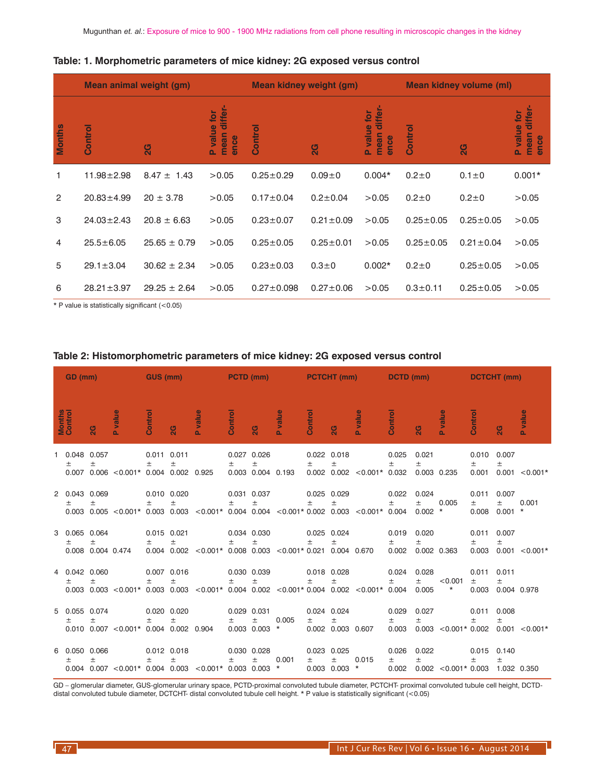|        | Mean animal weight (gm) |                  |                                                                 |                  | Mean kidney weight (gm) |          | Mean kidney volume (ml) |                 |                                                                 |  |  |
|--------|-------------------------|------------------|-----------------------------------------------------------------|------------------|-------------------------|----------|-------------------------|-----------------|-----------------------------------------------------------------|--|--|
| Months | Control                 | 2G               | differ-<br>value for<br>mean<br>ence<br>$\overline{\mathbf{a}}$ | Control          | 2G                      |          | Control                 | 2G              | differ-<br>value for<br>mean<br>ence<br>$\overline{\mathbf{a}}$ |  |  |
|        | $11.98 \pm 2.98$        | $8.47 \pm 1.43$  | >0.05                                                           | $0.25 \pm 0.29$  | $0.09 + 0$              | $0.004*$ | $0.2 + 0$               | $0.1 \pm 0$     | $0.001*$                                                        |  |  |
| 2      | $20.83 \pm 4.99$        | $20 \pm 3.78$    | >0.05                                                           | $0.17 \pm 0.04$  | $0.2 \pm 0.04$          | >0.05    | $0.2 + 0$               | $0.2 + 0$       | >0.05                                                           |  |  |
| 3      | $24.03 \pm 2.43$        | $20.8 \pm 6.63$  | >0.05                                                           | $0.23 \pm 0.07$  | $0.21 \pm 0.09$         | >0.05    | $0.25 \pm 0.05$         | $0.25 \pm 0.05$ | >0.05                                                           |  |  |
| 4      | $25.5 \pm 6.05$         | $25.65 \pm 0.79$ | >0.05                                                           | $0.25 \pm 0.05$  | $0.25 \pm 0.01$         | >0.05    | $0.25 \pm 0.05$         | $0.21 \pm 0.04$ | >0.05                                                           |  |  |
| 5      | $29.1 \pm 3.04$         | $30.62 \pm 2.34$ | >0.05                                                           | $0.23 \pm 0.03$  | $0.3 + 0$               | $0.002*$ | $0.2 + 0$               | $0.25 \pm 0.05$ | >0.05                                                           |  |  |
| 6      | $28.21 \pm 3.97$        | $29.25 \pm 2.64$ | >0.05                                                           | $0.27 \pm 0.098$ | $0.27 \pm 0.06$         | >0.05    | $0.3 \pm 0.11$          | $0.25 \pm 0.05$ | >0.05                                                           |  |  |

#### **Table: 1. Morphometric parameters of mice kidney: 2G exposed versus control**

\* P value is statistically significant (<0.05)

| GD (mm) |                           | GUS (mm)               |                                              | <b>Example 19 PCTD (mm)</b><br><b>Service Service</b> |                          |                                                                                         |         |                                       | <b>PCTCHT (mm) DCTD (mm)</b> |         |                                           | <b>DCTCHT</b> (mm)               |                         |                               |                          |                         |                               |                  |
|---------|---------------------------|------------------------|----------------------------------------------|-------------------------------------------------------|--------------------------|-----------------------------------------------------------------------------------------|---------|---------------------------------------|------------------------------|---------|-------------------------------------------|----------------------------------|-------------------------|-------------------------------|--------------------------|-------------------------|-------------------------------|------------------|
|         | <b>Months</b><br>Control  | $\overline{2}G$        | <b>P</b> value                               | Control                                               | ସ                        | <b>P</b> value                                                                          | Control | ସ                                     | <b>P</b> value               | Control | ସ                                         | <b>P</b> value                   | Control                 | ସ                             | <b>P</b> value           | Control                 | 2G                            | <b>P</b> value   |
|         | 1 0.048<br>$\pm$          | 0.057<br>±             | $0.007$ $0.006$ < $0.001*$ 0.004 0.002 0.925 | 0.011 0.011<br>$\pm$                                  | $\pm$                    |                                                                                         | 土       | 0.027 0.026<br>土<br>0.003 0.004 0.193 |                              | $\pm$   | 0.022 0.018<br>$\pm$                      | $0.002$ $0.002$ < $0.001*$ 0.032 | 0.025<br>Ŧ.             | 0.021<br>$\pm$<br>0.003 0.235 |                          | 0.010<br>$\pm$<br>0.001 | 0.007<br>$\pm$                | $0.001 < 0.001*$ |
|         | 2 0.043<br>$\pm$          | 0.069<br>土             |                                              | $\pm$                                                 | 0.010 0.020<br>$\pm$     | $0.003$ $0.005$ <0.001* 0.003 0.003 <0.001* 0.004 0.004 <0.001* 0.002 0.003             | $\pm$   | 0.031 0.037<br>土                      |                              | $\pm$   | 0.025 0.029<br>$\pm$                      | $< 0.001*$ 0.004                 | 0.022<br>$\pm$          | 0.024<br>$\pm$<br>$0.002$ *   | 0.005                    | 0.011<br>$\pm$<br>0.008 | 0.007<br>$\pm$<br>$0.001$ *   | 0.001            |
|         | 3 0.065 0.064<br>$\pm$    | 土<br>0.008 0.004 0.474 |                                              | 0.015 0.021<br>$\pm$                                  | 土                        | $0.004$ 0.002 < $0.001*$ 0.008 0.003 < $0.001*$ 0.021 0.004 0.670                       | 土       | 0.034 0.030<br>$\pm$                  |                              | $\pm$   | 0.025 0.024<br>Ŧ.                         |                                  | 0.019<br>士<br>0.002     | 0.020<br>$\pm$<br>0.002 0.363 |                          | 0.011<br>$\pm$<br>0.003 | 0.007<br>$\pm$                | $0.001 < 0.001*$ |
|         | 4 0.042<br>$\pm$          | 0.060<br>土             |                                              | Ŧ.                                                    | 0.007 0.016<br>$\pm$     | $0.003$ 0.003 <0.001* 0.003 0.003 <0.001* 0.004 0.002 <0.001* 0.004 0.002 <0.001* 0.004 | $\pm$   | 0.030 0.039<br>$\pm$                  |                              | $\pm$   | 0.018 0.028<br>$\pm$                      |                                  | 0.024<br>$\pm$          | 0.028<br>$\pm$<br>0.005       | < 0.001<br>$\star$       | 0.011<br>$\pm$<br>0.003 | 0.011<br>$\pm$<br>0.004 0.978 |                  |
|         | 5 0.055 0.074<br>土        | 土                      | $0.010$ $0.007$ < $0.001*$ 0.004 0.002 0.904 | $\pm$                                                 | 0.020 0.020<br>土         |                                                                                         | $\pm$   | 0.029 0.031<br>土<br>0.003 0.003       | 0.005<br>$\star$             | $\pm$   | 0.024 0.024<br>$\pm$<br>0.002 0.003 0.607 |                                  | 0.029<br>土<br>0.003     | 0.027<br>土                    | $0.003$ < $0.001*$ 0.002 | 0.011<br>土              | 0.008<br>$\pm$                | $0.001 < 0.001*$ |
|         | 6  0.050  0.066<br>$^{+}$ | Ŧ                      |                                              | $\pm$                                                 | $0.012$ $0.018$<br>$\pm$ | $0.004$ 0.007 < 0.001* 0.004 0.003 < 0.001* 0.003 0.003                                 | $\pm$   | 0.030 0.028<br>土                      | 0.001<br>$\star$             | $\pm$   | 0.023 0.025<br>$\pm$<br>$0.003$ 0.003 $*$ | 0.015                            | 0.026<br>$\pm$<br>0.002 | 0.022<br>$\pm$                | $0.002$ < $0.001*$ 0.003 | 0.015<br>土              | 0.140<br>$\pm$<br>1.032 0.350 |                  |

#### **Table 2: Histomorphometric parameters of mice kidney: 2G exposed versus control**

GD – glomerular diameter, GUS-glomerular urinary space, PCTD-proximal convoluted tubule diameter, PCTCHT- proximal convoluted tubule cell height, DCTDdistal convoluted tubule diameter, DCTCHT- distal convoluted tubule cell height. \* P value is statistically significant (<0.05)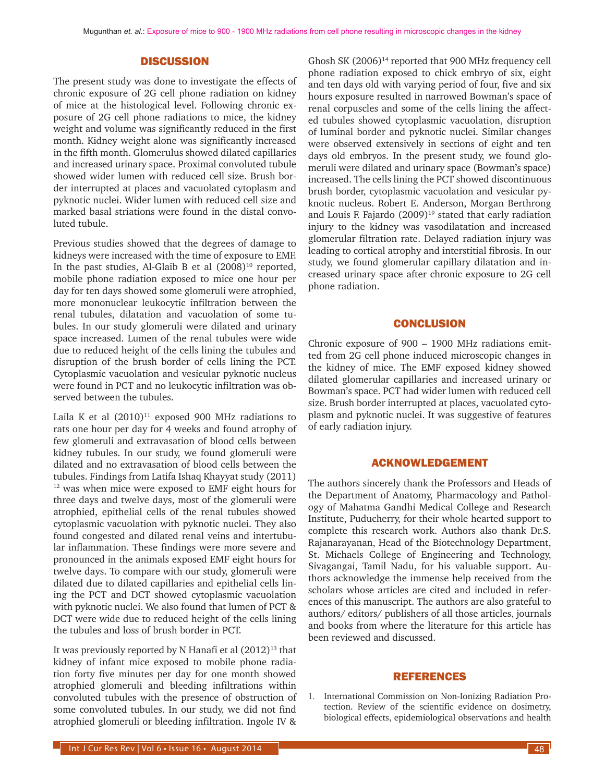#### **DISCUSSION**

The present study was done to investigate the effects of chronic exposure of 2G cell phone radiation on kidney of mice at the histological level. Following chronic exposure of 2G cell phone radiations to mice, the kidney weight and volume was significantly reduced in the first month. Kidney weight alone was significantly increased in the fifth month. Glomerulus showed dilated capillaries and increased urinary space. Proximal convoluted tubule showed wider lumen with reduced cell size. Brush border interrupted at places and vacuolated cytoplasm and pyknotic nuclei. Wider lumen with reduced cell size and marked basal striations were found in the distal convoluted tubule.

Previous studies showed that the degrees of damage to kidneys were increased with the time of exposure to EMF. In the past studies, Al-Glaib B et al  $(2008)^{10}$  reported, mobile phone radiation exposed to mice one hour per day for ten days showed some glomeruli were atrophied, more mononuclear leukocytic infiltration between the renal tubules, dilatation and vacuolation of some tubules. In our study glomeruli were dilated and urinary space increased. Lumen of the renal tubules were wide due to reduced height of the cells lining the tubules and disruption of the brush border of cells lining the PCT. Cytoplasmic vacuolation and vesicular pyknotic nucleus were found in PCT and no leukocytic infiltration was observed between the tubules.

Laila K et al  $(2010)^{11}$  exposed 900 MHz radiations to rats one hour per day for 4 weeks and found atrophy of few glomeruli and extravasation of blood cells between kidney tubules. In our study, we found glomeruli were dilated and no extravasation of blood cells between the tubules. Findings from Latifa Ishaq Khayyat study (2011) 12 was when mice were exposed to EMF eight hours for three days and twelve days, most of the glomeruli were atrophied, epithelial cells of the renal tubules showed cytoplasmic vacuolation with pyknotic nuclei. They also found congested and dilated renal veins and intertubular inflammation. These findings were more severe and pronounced in the animals exposed EMF eight hours for twelve days. To compare with our study, glomeruli were dilated due to dilated capillaries and epithelial cells lining the PCT and DCT showed cytoplasmic vacuolation with pyknotic nuclei. We also found that lumen of PCT & DCT were wide due to reduced height of the cells lining the tubules and loss of brush border in PCT.

It was previously reported by N Hanafi et al  $(2012)^{13}$  that kidney of infant mice exposed to mobile phone radiation forty five minutes per day for one month showed atrophied glomeruli and bleeding infiltrations within convoluted tubules with the presence of obstruction of some convoluted tubules. In our study, we did not find atrophied glomeruli or bleeding infiltration. Ingole IV &

Ghosh SK  $(2006)^{14}$  reported that 900 MHz frequency cell phone radiation exposed to chick embryo of six, eight and ten days old with varying period of four, five and six hours exposure resulted in narrowed Bowman's space of renal corpuscles and some of the cells lining the affected tubules showed cytoplasmic vacuolation, disruption of luminal border and pyknotic nuclei. Similar changes were observed extensively in sections of eight and ten days old embryos. In the present study, we found glomeruli were dilated and urinary space (Bowman's space) increased. The cells lining the PCT showed discontinuous brush border, cytoplasmic vacuolation and vesicular pyknotic nucleus. Robert E. Anderson, Morgan Berthrong and Louis F. Fajardo  $(2009)^{19}$  stated that early radiation injury to the kidney was vasodilatation and increased glomerular filtration rate. Delayed radiation injury was leading to cortical atrophy and interstitial fibrosis. In our study, we found glomerular capillary dilatation and increased urinary space after chronic exposure to 2G cell phone radiation.

#### **CONCLUSION**

Chronic exposure of 900 – 1900 MHz radiations emitted from 2G cell phone induced microscopic changes in the kidney of mice. The EMF exposed kidney showed dilated glomerular capillaries and increased urinary or Bowman's space. PCT had wider lumen with reduced cell size. Brush border interrupted at places, vacuolated cytoplasm and pyknotic nuclei. It was suggestive of features of early radiation injury.

#### ACKNOWLEDGEMENT

The authors sincerely thank the Professors and Heads of the Department of Anatomy, Pharmacology and Pathology of Mahatma Gandhi Medical College and Research Institute, Puducherry, for their whole hearted support to complete this research work. Authors also thank Dr.S. Rajanarayanan, Head of the Biotechnology Department, St. Michaels College of Engineering and Technology, Sivagangai, Tamil Nadu, for his valuable support. Authors acknowledge the immense help received from the scholars whose articles are cited and included in references of this manuscript. The authors are also grateful to authors/ editors/ publishers of all those articles, journals and books from where the literature for this article has been reviewed and discussed.

#### REFERENCES

1. International Commission on Non-Ionizing Radiation Protection. Review of the scientific evidence on dosimetry, biological effects, epidemiological observations and health